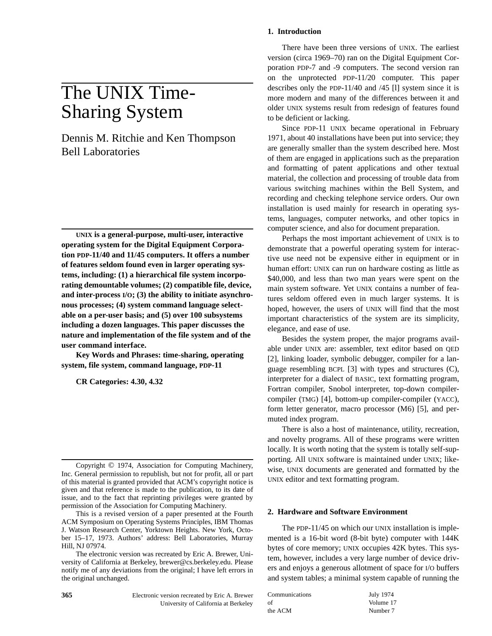# The UNIX Time-Sharing System

Dennis M. Ritchie and Ken Thompson Bell Laboratories

**UNIX is a general-purpose, multi-user, interactive operating system for the Digital Equipment Corporation PDP-11/40 and 11/45 computers. It offers a number of features seldom found even in larger operating systems, including: (1) a hierarchical file system incorporating demountable volumes; (2) compatible file, device, and inter-process I/O; (3) the ability to initiate asynchronous processes; (4) system command language selectable on a per-user basis; and (5) over 100 subsystems including a dozen languages. This paper discusses the nature and implementation of the file system and of the user command interface.**

**Key Words and Phrases: time-sharing, operating system, file system, command language, PDP-11**

**CR Categories: 4.30, 4.32**

## **1. Introduction**

There have been three versions of UNIX. The earliest version (circa 1969–70) ran on the Digital Equipment Corporation PDP-7 and -9 computers. The second version ran on the unprotected PDP-11/20 computer. This paper describes only the PDP-11/40 and /45 [l] system since it is more modern and many of the differences between it and older UNIX systems result from redesign of features found to be deficient or lacking.

Since PDP-11 UNIX became operational in February 1971, about 40 installations have been put into service; they are generally smaller than the system described here. Most of them are engaged in applications such as the preparation and formatting of patent applications and other textual material, the collection and processing of trouble data from various switching machines within the Bell System, and recording and checking telephone service orders. Our own installation is used mainly for research in operating systems, languages, computer networks, and other topics in computer science, and also for document preparation.

Perhaps the most important achievement of UNIX is to demonstrate that a powerful operating system for interactive use need not be expensive either in equipment or in human effort: UNIX can run on hardware costing as little as \$40,000, and less than two man years were spent on the main system software. Yet UNIX contains a number of features seldom offered even in much larger systems. It is hoped, however, the users of UNIX will find that the most important characteristics of the system are its simplicity, elegance, and ease of use.

Besides the system proper, the major programs available under UNIX are: assembler, text editor based on QED [2], linking loader, symbolic debugger, compiler for a language resembling BCPL [3] with types and structures (C), interpreter for a dialect of BASIC, text formatting program, Fortran compiler, Snobol interpreter, top-down compilercompiler (TMG) [4], bottom-up compiler-compiler (YACC), form letter generator, macro processor (M6) [5], and permuted index program.

There is also a host of maintenance, utility, recreation, and novelty programs. All of these programs were written locally. It is worth noting that the system is totally self-supporting. All UNIX software is maintained under UNIX; likewise, UNIX documents are generated and formatted by the UNIX editor and text formatting program.

## **2. Hardware and Software Environment**

The PDP-11/45 on which our UNIX installation is implemented is a 16-bit word (8-bit byte) computer with 144K bytes of core memory; UNIX occupies 42K bytes. This system, however, includes a very large number of device drivers and enjoys a generous allotment of space for I/O buffers and system tables; a minimal system capable of running the

Copyright © 1974, Association for Computing Machinery, Inc. General permission to republish, but not for profit, all or part of this material is granted provided that ACM's copyright notice is given and that reference is made to the publication, to its date of issue, and to the fact that reprinting privileges were granted by permission of the Association for Computing Machinery.

This is a revised version of a paper presented at the Fourth ACM Symposium on Operating Systems Principles, IBM Thomas J. Watson Research Center, Yorktown Heights. New York, October 15–17, 1973. Authors' address: Bell Laboratories, Murray Hill, NJ 07974.

The electronic version was recreated by Eric A. Brewer, University of California at Berkeley, brewer@cs.berkeley.edu. Please notify me of any deviations from the original; I have left errors in the original unchanged.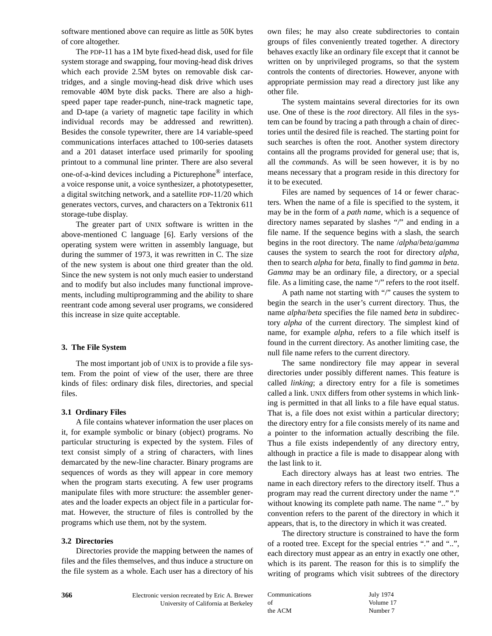software mentioned above can require as little as 50K bytes of core altogether.

The PDP-11 has a 1M byte fixed-head disk, used for file system storage and swapping, four moving-head disk drives which each provide 2.5M bytes on removable disk cartridges, and a single moving-head disk drive which uses removable 40M byte disk packs. There are also a highspeed paper tape reader-punch, nine-track magnetic tape, and D-tape (a variety of magnetic tape facility in which individual records may be addressed and rewritten). Besides the console typewriter, there are 14 variable-speed communications interfaces attached to 100-series datasets and a 201 dataset interface used primarily for spooling printout to a communal line printer. There are also several one-of-a-kind devices including a Picturephone® interface, a voice response unit, a voice synthesizer, a phototypesetter, a digital switching network, and a satellite PDP-11/20 which generates vectors, curves, and characters on a Tektronix 611 storage-tube display.

The greater part of UNIX software is written in the above-mentioned C language [6]. Early versions of the operating system were written in assembly language, but during the summer of 1973, it was rewritten in C. The size of the new system is about one third greater than the old. Since the new system is not only much easier to understand and to modify but also includes many functional improvements, including multiprogramming and the ability to share reentrant code among several user programs, we considered this increase in size quite acceptable.

## **3. The File System**

The most important job of UNIX is to provide a file system. From the point of view of the user, there are three kinds of files: ordinary disk files, directories, and special files.

## **3.1 Ordinary Files**

A file contains whatever information the user places on it, for example symbolic or binary (object) programs. No particular structuring is expected by the system. Files of text consist simply of a string of characters, with lines demarcated by the new-line character. Binary programs are sequences of words as they will appear in core memory when the program starts executing. A few user programs manipulate files with more structure: the assembler generates and the loader expects an object file in a particular format. However, the structure of files is controlled by the programs which use them, not by the system.

# **3.2 Directories**

Directories provide the mapping between the names of files and the files themselves, and thus induce a structure on the file system as a whole. Each user has a directory of his own files; he may also create subdirectories to contain groups of files conveniently treated together. A directory behaves exactly like an ordinary file except that it cannot be written on by unprivileged programs, so that the system controls the contents of directories. However, anyone with appropriate permission may read a directory just like any other file.

The system maintains several directories for its own use. One of these is the *root* directory. All files in the system can be found by tracing a path through a chain of directories until the desired file is reached. The starting point for such searches is often the root. Another system directory contains all the programs provided for general use; that is, all the *commands*. As will be seen however, it is by no means necessary that a program reside in this directory for it to be executed.

Files are named by sequences of 14 or fewer characters. When the name of a file is specified to the system, it may be in the form of a *path name*, which is a sequence of directory names separated by slashes "/" and ending in a file name. If the sequence begins with a slash, the search begins in the root directory. The name /*alpha*/*beta*/*gamma* causes the system to search the root for directory *alpha*, then to search *alpha* for *beta*, finally to find *gamma* in *beta*. *Gamma* may be an ordinary file, a directory, or a special file. As a limiting case, the name "/" refers to the root itself.

A path name not starting with "/" causes the system to begin the search in the user's current directory. Thus, the name *alpha*/*beta* specifies the file named *beta* in subdirectory *alpha* of the current directory. The simplest kind of name, for example *alpha*, refers to a file which itself is found in the current directory. As another limiting case, the null file name refers to the current directory.

The same nondirectory file may appear in several directories under possibly different names. This feature is called *linking*; a directory entry for a file is sometimes called a link. UNIX differs from other systems in which linking is permitted in that all links to a file have equal status. That is, a file does not exist within a particular directory; the directory entry for a file consists merely of its name and a pointer to the information actually describing the file. Thus a file exists independently of any directory entry, although in practice a file is made to disappear along with the last link to it.

Each directory always has at least two entries. The name in each directory refers to the directory itself. Thus a program may read the current directory under the name "." without knowing its complete path name. The name ".." by convention refers to the parent of the directory in which it appears, that is, to the directory in which it was created.

The directory structure is constrained to have the form of a rooted tree. Except for the special entries "." and "..", each directory must appear as an entry in exactly one other, which is its parent. The reason for this is to simplify the writing of programs which visit subtrees of the directory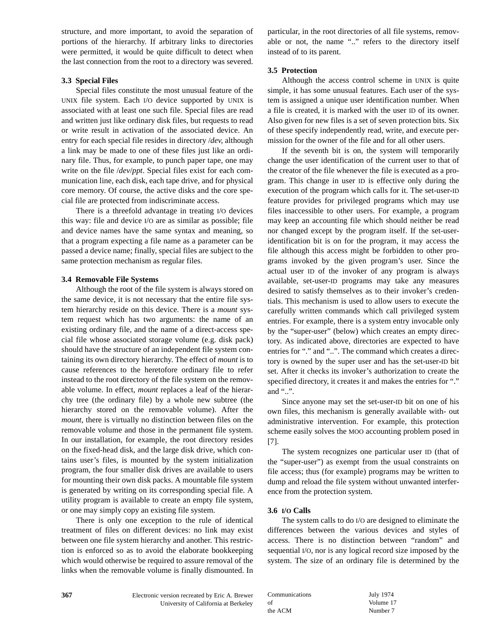structure, and more important, to avoid the separation of portions of the hierarchy. If arbitrary links to directories were permitted, it would be quite difficult to detect when the last connection from the root to a directory was severed.

# **3.3 Special Files**

Special files constitute the most unusual feature of the UNIX file system. Each I/O device supported by UNIX is associated with at least one such file. Special files are read and written just like ordinary disk files, but requests to read or write result in activation of the associated device. An entry for each special file resides in directory /*dev*, although a link may be made to one of these files just like an ordinary file. Thus, for example, to punch paper tape, one may write on the file /*dev*/*ppt*. Special files exist for each communication line, each disk, each tape drive, and for physical core memory. Of course, the active disks and the core special file are protected from indiscriminate access.

There is a threefold advantage in treating I/O devices this way: file and device I/O are as similar as possible; file and device names have the same syntax and meaning, so that a program expecting a file name as a parameter can be passed a device name; finally, special files are subject to the same protection mechanism as regular files.

# **3.4 Removable File Systems**

Although the root of the file system is always stored on the same device, it is not necessary that the entire file system hierarchy reside on this device. There is a *mount* system request which has two arguments: the name of an existing ordinary file, and the name of a direct-access special file whose associated storage volume (e.g. disk pack) should have the structure of an independent file system containing its own directory hierarchy. The effect of *mount* is to cause references to the heretofore ordinary file to refer instead to the root directory of the file system on the removable volume. In effect, *mount* replaces a leaf of the hierarchy tree (the ordinary file) by a whole new subtree (the hierarchy stored on the removable volume). After the *mount*, there is virtually no distinction between files on the removable volume and those in the permanent file system. In our installation, for example, the root directory resides on the fixed-head disk, and the large disk drive, which contains user's files, is mounted by the system initialization program, the four smaller disk drives are available to users for mounting their own disk packs. A mountable file system is generated by writing on its corresponding special file. A utility program is available to create an empty file system, or one may simply copy an existing file system.

There is only one exception to the rule of identical treatment of files on different devices: no link may exist between one file system hierarchy and another. This restriction is enforced so as to avoid the elaborate bookkeeping which would otherwise be required to assure removal of the links when the removable volume is finally dismounted. In

particular, in the root directories of all file systems, removable or not, the name ".." refers to the directory itself instead of to its parent.

# **3.5 Protection**

Although the access control scheme in UNIX is quite simple, it has some unusual features. Each user of the system is assigned a unique user identification number. When a file is created, it is marked with the user ID of its owner. Also given for new files is a set of seven protection bits. Six of these specify independently read, write, and execute permission for the owner of the file and for all other users.

If the seventh bit is on, the system will temporarily change the user identification of the current user to that of the creator of the file whenever the file is executed as a program. This change in user ID is effective only during the execution of the program which calls for it. The set-user-ID feature provides for privileged programs which may use files inaccessible to other users. For example, a program may keep an accounting file which should neither be read nor changed except by the program itself. If the set-useridentification bit is on for the program, it may access the file although this access might be forbidden to other programs invoked by the given program's user. Since the actual user ID of the invoker of any program is always available, set-user-ID programs may take any measures desired to satisfy themselves as to their invoker's credentials. This mechanism is used to allow users to execute the carefully written commands which call privileged system entries. For example, there is a system entry invocable only by the "super-user" (below) which creates an empty directory. As indicated above, directories are expected to have entries for "." and "..". The command which creates a directory is owned by the super user and has the set-user-ID bit set. After it checks its invoker's authorization to create the specified directory, it creates it and makes the entries for "." and "..".

Since anyone may set the set-user-ID bit on one of his own files, this mechanism is generally available with- out administrative intervention. For example, this protection scheme easily solves the MOO accounting problem posed in [7].

The system recognizes one particular user ID (that of the "super-user") as exempt from the usual constraints on file access; thus (for example) programs may be written to dump and reload the file system without unwanted interference from the protection system.

# **3.6 I/O Calls**

The system calls to do I/O are designed to eliminate the differences between the various devices and styles of access. There is no distinction between "random" and sequential I/O, nor is any logical record size imposed by the system. The size of an ordinary file is determined by the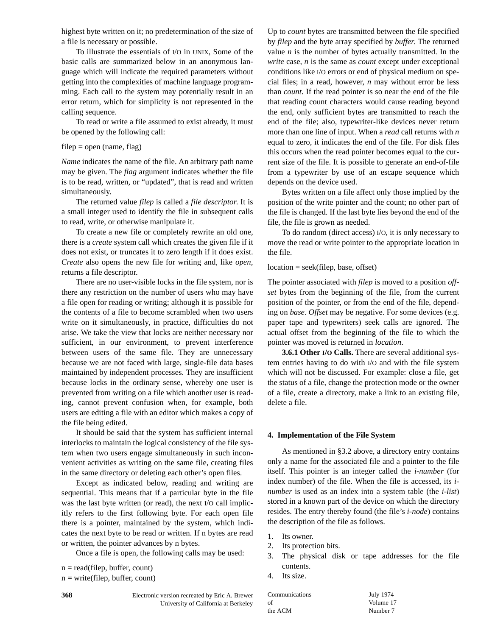highest byte written on it; no predetermination of the size of a file is necessary or possible.

To illustrate the essentials of I/O in UNIX, Some of the basic calls are summarized below in an anonymous language which will indicate the required parameters without getting into the complexities of machine language programming. Each call to the system may potentially result in an error return, which for simplicity is not represented in the calling sequence.

To read or write a file assumed to exist already, it must be opened by the following call:

## $filep = open (name, flag)$

*Name* indicates the name of the file. An arbitrary path name may be given. The *flag* argument indicates whether the file is to be read, written, or "updated", that is read and written simultaneously.

The returned value *filep* is called a *file descriptor*. It is a small integer used to identify the file in subsequent calls to read, write, or otherwise manipulate it.

To create a new file or completely rewrite an old one, there is a *create* system call which creates the given file if it does not exist, or truncates it to zero length if it does exist. *Create* also opens the new file for writing and, like *open*, returns a file descriptor.

There are no user-visible locks in the file system, nor is there any restriction on the number of users who may have a file open for reading or writing; although it is possible for the contents of a file to become scrambled when two users write on it simultaneously, in practice, difficulties do not arise. We take the view that locks are neither necessary nor sufficient, in our environment, to prevent interference between users of the same file. They are unnecessary because we are not faced with large, single-file data bases maintained by independent processes. They are insufficient because locks in the ordinary sense, whereby one user is prevented from writing on a file which another user is reading, cannot prevent confusion when, for example, both users are editing a file with an editor which makes a copy of the file being edited.

It should be said that the system has sufficient internal interlocks to maintain the logical consistency of the file system when two users engage simultaneously in such inconvenient activities as writing on the same file, creating files in the same directory or deleting each other's open files.

Except as indicated below, reading and writing are sequential. This means that if a particular byte in the file was the last byte written (or read), the next I/O call implicitly refers to the first following byte. For each open file there is a pointer, maintained by the system, which indicates the next byte to be read or written. If n bytes are read or written, the pointer advances by n bytes.

Once a file is open, the following calls may be used:

- $n = read(filep, buffer, count)$
- $n =$  write(filep, buffer, count)

Up to *count* bytes are transmitted between the file specified by *filep* and the byte array specified by *buffer*. The returned value *n* is the number of bytes actually transmitted. In the *write* case, *n* is the same as *count* except under exceptional conditions like I/O errors or end of physical medium on special files; in a read, however, *n* may without error be less than *count*. If the read pointer is so near the end of the file that reading count characters would cause reading beyond the end, only sufficient bytes are transmitted to reach the end of the file; also, typewriter-like devices never return more than one line of input. When a *read* call returns with *n* equal to zero, it indicates the end of the file. For disk files this occurs when the read pointer becomes equal to the current size of the file. It is possible to generate an end-of-file from a typewriter by use of an escape sequence which depends on the device used.

Bytes written on a file affect only those implied by the position of the write pointer and the count; no other part of the file is changed. If the last byte lies beyond the end of the file, the file is grown as needed.

To do random (direct access) I/O, it is only necessary to move the read or write pointer to the appropriate location in the file.

#### $location = seek(filep, base, offset)$

The pointer associated with *filep* is moved to a position *offset* bytes from the beginning of the file, from the current position of the pointer, or from the end of the file, depending on *base*. *Offset* may be negative. For some devices (e.g. paper tape and typewriters) seek calls are ignored. The actual offset from the beginning of the file to which the pointer was moved is returned in *location*.

**3.6.1 Other I/O Calls.** There are several additional system entries having to do with I/O and with the file system which will not be discussed. For example: close a file, get the status of a file, change the protection mode or the owner of a file, create a directory, make a link to an existing file, delete a file.

#### **4. Implementation of the File System**

As mentioned in §3.2 above, a directory entry contains only a name for the associated file and a pointer to the file itself. This pointer is an integer called the *i-number* (for index number) of the file. When the file is accessed, its *inumber* is used as an index into a system table (the *i-list*) stored in a known part of the device on which the directory resides. The entry thereby found (the file's *i-node*) contains the description of the file as follows.

- 1. Its owner.
- 2. Its protection bits.
- 3. The physical disk or tape addresses for the file contents.
- 4. Its size.

**368** Electronic version recreated by Eric A. Brewer University of California at Berkeley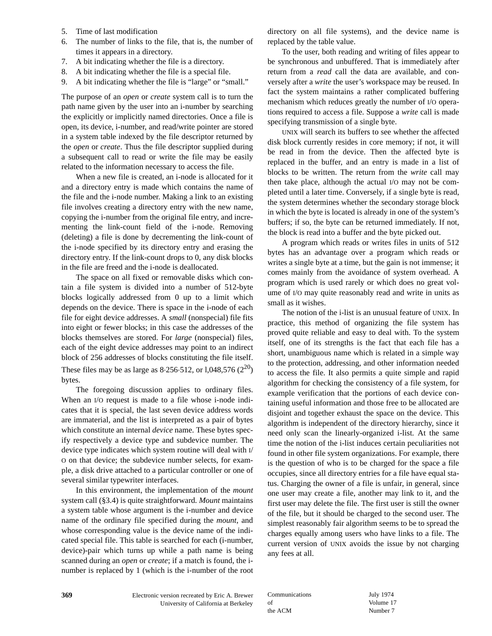- 5. Time of last modification
- 6. The number of links to the file, that is, the number of times it appears in a directory.
- 7. A bit indicating whether the file is a directory.
- 8. A bit indicating whether the file is a special file.
- 9. A bit indicating whether the file is "large" or "small."

The purpose of an *open* or *create* system call is to turn the path name given by the user into an i-number by searching the explicitly or implicitly named directories. Once a file is open, its device, i-number, and read/write pointer are stored in a system table indexed by the file descriptor returned by the *open* or *create*. Thus the file descriptor supplied during a subsequent call to read or write the file may be easily related to the information necessary to access the file.

When a new file is created, an i-node is allocated for it and a directory entry is made which contains the name of the file and the i-node number. Making a link to an existing file involves creating a directory entry with the new name, copying the i-number from the original file entry, and incrementing the link-count field of the i-node. Removing (deleting) a file is done by decrementing the link-count of the i-node specified by its directory entry and erasing the directory entry. If the link-count drops to 0, any disk blocks in the file are freed and the i-node is deallocated.

The space on all fixed or removable disks which contain a file system is divided into a number of 512-byte blocks logically addressed from 0 up to a limit which depends on the device. There is space in the i-node of each file for eight device addresses. A *small* (nonspecial) file fits into eight or fewer blocks; in this case the addresses of the blocks themselves are stored. For *large* (nonspecial) files, each of the eight device addresses may point to an indirect block of 256 addresses of blocks constituting the file itself. These files may be as large as  $8.256.512$ , or 1,048,576 ( $2^{20}$ ) bytes.

The foregoing discussion applies to ordinary files. When an I/O request is made to a file whose i-node indicates that it is special, the last seven device address words are immaterial, and the list is interpreted as a pair of bytes which constitute an internal *device* name. These bytes specify respectively a device type and subdevice number. The device type indicates which system routine will deal with I/ O on that device; the subdevice number selects, for example, a disk drive attached to a particular controller or one of several similar typewriter interfaces.

In this environment, the implementation of the *mount* system call (§3.4) is quite straightforward. *Mount* maintains a system table whose argument is the i-number and device name of the ordinary file specified during the *mount*, and whose corresponding value is the device name of the indicated special file. This table is searched for each (i-number, device)-pair which turns up while a path name is being scanned during an *open* or *create*; if a match is found, the inumber is replaced by 1 (which is the i-number of the root directory on all file systems), and the device name is replaced by the table value.

To the user, both reading and writing of files appear to be synchronous and unbuffered. That is immediately after return from a *read* call the data are available, and conversely after a *write* the user's workspace may be reused. In fact the system maintains a rather complicated buffering mechanism which reduces greatly the number of I/O operations required to access a file. Suppose a *write* call is made specifying transmission of a single byte.

UNIX will search its buffers to see whether the affected disk block currently resides in core memory; if not, it will be read in from the device. Then the affected byte is replaced in the buffer, and an entry is made in a list of blocks to be written. The return from the *write* call may then take place, although the actual I/O may not be completed until a later time. Conversely, if a single byte is read, the system determines whether the secondary storage block in which the byte is located is already in one of the system's buffers; if so, the byte can be returned immediately. If not, the block is read into a buffer and the byte picked out.

A program which reads or writes files in units of 512 bytes has an advantage over a program which reads or writes a single byte at a time, but the gain is not immense; it comes mainly from the avoidance of system overhead. A program which is used rarely or which does no great volume of I/O may quite reasonably read and write in units as small as it wishes.

The notion of the i-list is an unusual feature of UNIX. In practice, this method of organizing the file system has proved quite reliable and easy to deal with. To the system itself, one of its strengths is the fact that each file has a short, unambiguous name which is related in a simple way to the protection, addressing, and other information needed to access the file. It also permits a quite simple and rapid algorithm for checking the consistency of a file system, for example verification that the portions of each device containing useful information and those free to be allocated are disjoint and together exhaust the space on the device. This algorithm is independent of the directory hierarchy, since it need only scan the linearly-organized i-list. At the same time the notion of the i-list induces certain peculiarities not found in other file system organizations. For example, there is the question of who is to be charged for the space a file occupies, since all directory entries for a file have equal status. Charging the owner of a file is unfair, in general, since one user may create a file, another may link to it, and the first user may delete the file. The first user is still the owner of the file, but it should be charged to the second user. The simplest reasonably fair algorithm seems to be to spread the charges equally among users who have links to a file. The current version of UNIX avoids the issue by not charging any fees at all.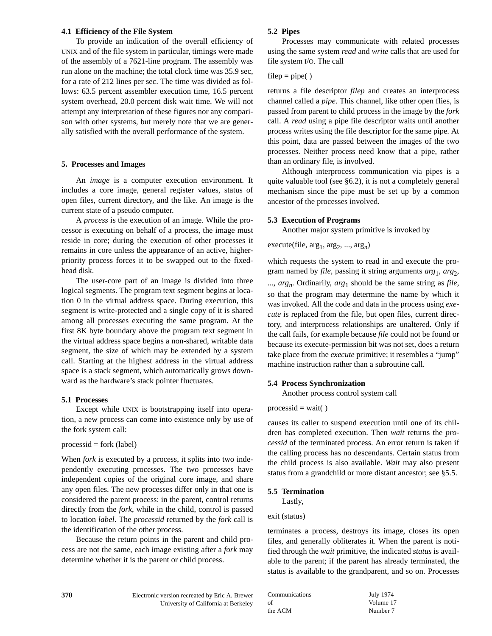## **4.1 Efficiency of the File System**

To provide an indication of the overall efficiency of UNIX and of the file system in particular, timings were made of the assembly of a 7621-line program. The assembly was run alone on the machine; the total clock time was 35.9 sec, for a rate of 212 lines per sec. The time was divided as follows: 63.5 percent assembler execution time, 16.5 percent system overhead, 20.0 percent disk wait time. We will not attempt any interpretation of these figures nor any comparison with other systems, but merely note that we are generally satisfied with the overall performance of the system.

#### **5. Processes and Images**

An *image* is a computer execution environment. It includes a core image, general register values, status of open files, current directory, and the like. An image is the current state of a pseudo computer.

A *process* is the execution of an image. While the processor is executing on behalf of a process, the image must reside in core; during the execution of other processes it remains in core unless the appearance of an active, higherpriority process forces it to be swapped out to the fixedhead disk.

The user-core part of an image is divided into three logical segments. The program text segment begins at location 0 in the virtual address space. During execution, this segment is write-protected and a single copy of it is shared among all processes executing the same program. At the first 8K byte boundary above the program text segment in the virtual address space begins a non-shared, writable data segment, the size of which may be extended by a system call. Starting at the highest address in the virtual address space is a stack segment, which automatically grows downward as the hardware's stack pointer fluctuates.

#### **5.1 Processes**

Except while UNIX is bootstrapping itself into operation, a new process can come into existence only by use of the fork system call:

#### $processid = fork$  (label)

When *fork* is executed by a process, it splits into two independently executing processes. The two processes have independent copies of the original core image, and share any open files. The new processes differ only in that one is considered the parent process: in the parent, control returns directly from the *fork*, while in the child, control is passed to location *label*. The *processid* returned by the *fork* call is the identification of the other process.

Because the return points in the parent and child process are not the same, each image existing after a *fork* may determine whether it is the parent or child process.

#### **5.2 Pipes**

Processes may communicate with related processes using the same system *read* and *write* calls that are used for file system I/O. The call

#### $filep = pipe()$

returns a file descriptor *filep* and creates an interprocess channel called a *pipe*. This channel, like other open flies, is passed from parent to child process in the image by the *fork* call. A *read* using a pipe file descriptor waits until another process writes using the file descriptor for the same pipe. At this point, data are passed between the images of the two processes. Neither process need know that a pipe, rather than an ordinary file, is involved.

Although interprocess communication via pipes is a quite valuable tool (see §6.2), it is not a completely general mechanism since the pipe must be set up by a common ancestor of the processes involved.

#### **5.3 Execution of Programs**

Another major system primitive is invoked by

execute(file,  $arg_1, arg_2, ..., arg_n$ )

which requests the system to read in and execute the program named by *file*, passing it string arguments  $arg_1, arg_2,$ ...,  $arg_n$ . Ordinarily,  $arg_1$  should be the same string as *file*, so that the program may determine the name by which it was invoked. All the code and data in the process using *execute* is replaced from the file, but open files, current directory, and interprocess relationships are unaltered. Only if the call fails, for example because *file* could not be found or because its execute-permission bit was not set, does a return take place from the *execute* primitive; it resembles a "jump" machine instruction rather than a subroutine call.

#### **5.4 Process Synchronization**

Another process control system call

 $processid = wait()$ 

causes its caller to suspend execution until one of its children has completed execution. Then *wait* returns the *processid* of the terminated process. An error return is taken if the calling process has no descendants. Certain status from the child process is also available. *Wait* may also present status from a grandchild or more distant ancestor; see §5.5.

#### **5.5 Termination**

Lastly,

#### exit (status)

terminates a process, destroys its image, closes its open files, and generally obliterates it. When the parent is notified through the *wait* primitive, the indicated *status* is available to the parent; if the parent has already terminated, the status is available to the grandparent, and so on. Processes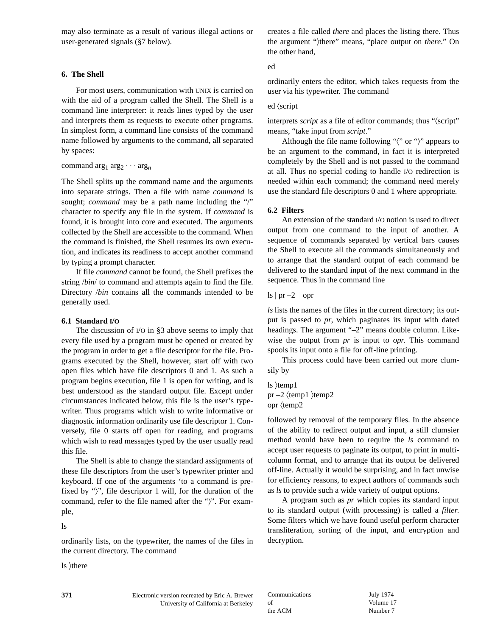may also terminate as a result of various illegal actions or user-generated signals (§7 below).

## **6. The Shell**

For most users, communication with UNIX is carried on with the aid of a program called the Shell. The Shell is a command line interpreter: it reads lines typed by the user and interprets them as requests to execute other programs. In simplest form, a command line consists of the command name followed by arguments to the command, all separated by spaces:

## command  $\arg_1 \arg_2 \cdots \arg_n$

The Shell splits up the command name and the arguments into separate strings. Then a file with name *command* is sought; *command* may be a path name including the "/" character to specify any file in the system. If *command* is found, it is brought into core and executed. The arguments collected by the Shell are accessible to the command. When the command is finished, the Shell resumes its own execution, and indicates its readiness to accept another command by typing a prompt character.

If file *command* cannot be found, the Shell prefixes the string /*bin*/ to command and attempts again to find the file. Directory /*bin* contains all the commands intended to be generally used.

## **6.1 Standard I/O**

The discussion of I/O in §3 above seems to imply that every file used by a program must be opened or created by the program in order to get a file descriptor for the file. Programs executed by the Shell, however, start off with two open files which have file descriptors 0 and 1. As such a program begins execution, file 1 is open for writing, and is best understood as the standard output file. Except under circumstances indicated below, this file is the user's typewriter. Thus programs which wish to write informative or diagnostic information ordinarily use file descriptor 1. Conversely, file 0 starts off open for reading, and programs which wish to read messages typed by the user usually read this file.

The Shell is able to change the standard assignments of these file descriptors from the user's typewriter printer and keyboard. If one of the arguments 'to a command is prefixed by " $\rangle$ ", file descriptor 1 will, for the duration of the command, refer to the file named after the "〉". For example,

ls

ordinarily lists, on the typewriter, the names of the files in the current directory. The command

ls 〉there

creates a file called *there* and places the listing there. Thus the argument "〉there" means, "place output on *there*." On the other hand,

ed

ordinarily enters the editor, which takes requests from the user via his typewriter. The command

#### ed 〈script

interprets *script* as a file of editor commands; thus " $\langle$ script" means, "take input from *script*."

Although the file name following " $\langle$ " or " $\rangle$ " appears to be an argument to the command, in fact it is interpreted completely by the Shell and is not passed to the command at all. Thus no special coding to handle I/O redirection is needed within each command; the command need merely use the standard file descriptors 0 and 1 where appropriate.

## **6.2 Filters**

An extension of the standard I/O notion is used to direct output from one command to the input of another. A sequence of commands separated by vertical bars causes the Shell to execute all the commands simultaneously and to arrange that the standard output of each command be delivered to the standard input of the next command in the sequence. Thus in the command line

 $\lg$  | pr –2 | opr

*ls* lists the names of the files in the current directory; its output is passed to *pr*, which paginates its input with dated headings. The argument "-2" means double column. Likewise the output from *pr* is input to *opr*. This command spools its input onto a file for off-line printing.

This process could have been carried out more clumsily by

ls 〉temp1 pr  $-2$   $\langle \text{temp1} \rangle$ temp2 opr 〈temp2

followed by removal of the temporary files. In the absence of the ability to redirect output and input, a still clumsier method would have been to require the *ls* command to accept user requests to paginate its output, to print in multicolumn format, and to arrange that its output be delivered off-line. Actually it would be surprising, and in fact unwise for efficiency reasons, to expect authors of commands such as *ls* to provide such a wide variety of output options.

A program such as *pr* which copies its standard input to its standard output (with processing) is called a *filter*. Some filters which we have found useful perform character transliteration, sorting of the input, and encryption and decryption.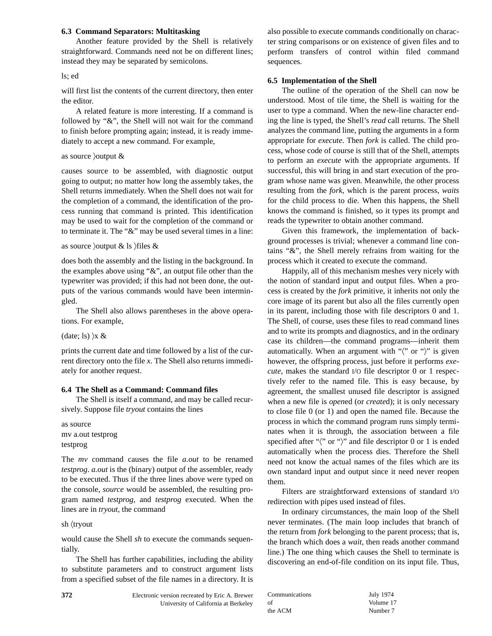#### **6.3 Command Separators: Multitasking**

Another feature provided by the Shell is relatively straightforward. Commands need not be on different lines; instead they may be separated by semicolons.

ls; ed

will first list the contents of the current directory, then enter the editor.

A related feature is more interesting. If a command is followed by "&", the Shell will not wait for the command to finish before prompting again; instead, it is ready immediately to accept a new command. For example,

#### as source 〉output &

causes source to be assembled, with diagnostic output going to output; no matter how long the assembly takes, the Shell returns immediately. When the Shell does not wait for the completion of a command, the identification of the process running that command is printed. This identification may be used to wait for the completion of the command or to terminate it. The "&" may be used several times in a line:

#### as source  $\text{output} \& \text{ls} \& \text{ls}$

does both the assembly and the listing in the background. In the examples above using "&", an output file other than the typewriter was provided; if this had not been done, the outputs of the various commands would have been intermingled.

The Shell also allows parentheses in the above operations. For example,

(date; ls)  $\lambda x \&$ 

prints the current date and time followed by a list of the current directory onto the file *x*. The Shell also returns immediately for another request.

## **6.4 The Shell as a Command: Command files**

The Shell is itself a command, and may be called recursively. Suppose file *tryout* contains the lines

as source mv a.out testprog testprog

The *mv* command causes the file *a.out* to be renamed *testprog*. *a.out* is the (binary) output of the assembler, ready to be executed. Thus if the three lines above were typed on the console, *source* would be assembled, the resulting program named *testprog*, and *testprog* executed. When the lines are in *tryout*, the command

sh 〈tryout

would cause the Shell *sh* to execute the commands sequentially.

The Shell has further capabilities, including the ability to substitute parameters and to construct argument lists from a specified subset of the file names in a directory. It is

also possible to execute commands conditionally on character string comparisons or on existence of given files and to perform transfers of control within filed command sequences.

## **6.5 Implementation of the Shell**

The outline of the operation of the Shell can now be understood. Most of tile time, the Shell is waiting for the user to type a command. When the new-line character ending the line is typed, the Shell's *read* call returns. The Shell analyzes the command line, putting the arguments in a form appropriate for *execute*. Then *fork* is called. The child process, whose code of course is still that of the Shell, attempts to perform an *execute* with the appropriate arguments. If successful, this will bring in and start execution of the program whose name was given. Meanwhile, the other process resulting from the *fork*, which is the parent process, *waits* for the child process to die. When this happens, the Shell knows the command is finished, so it types its prompt and reads the typewriter to obtain another command.

Given this framework, the implementation of background processes is trivial; whenever a command line contains "&", the Shell merely refrains from waiting for the process which it created to execute the command.

Happily, all of this mechanism meshes very nicely with the notion of standard input and output files. When a process is created by the *fork* primitive, it inherits not only the core image of its parent but also all the files currently open in its parent, including those with file descriptors 0 and 1. The Shell, of course, uses these files to read command lines and to write its prompts and diagnostics, and in the ordinary case its children—the command programs—inherit them automatically. When an argument with " $\langle$ " or " $\rangle$ " is given however, the offspring process, just before it performs *execute*, makes the standard I/O file descriptor 0 or 1 respectively refer to the named file. This is easy because, by agreement, the smallest unused file descriptor is assigned when a new file is *open*ed (or *create*d); it is only necessary to close file 0 (or 1) and open the named file. Because the process in which the command program runs simply terminates when it is through, the association between a file specified after " $\langle$ " or " $\rangle$ " and file descriptor 0 or 1 is ended automatically when the process dies. Therefore the Shell need not know the actual names of the files which are its own standard input and output since it need never reopen them.

Filters are straightforward extensions of standard I/O redirection with pipes used instead of files.

In ordinary circumstances, the main loop of the Shell never terminates. (The main loop includes that branch of the return from *fork* belonging to the parent process; that is, the branch which does a *wait*, then reads another command line.) The one thing which causes the Shell to terminate is discovering an end-of-file condition on its input file. Thus,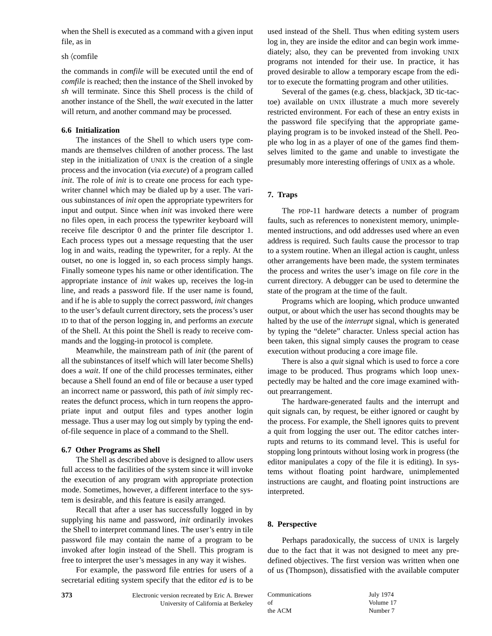when the Shell is executed as a command with a given input file, as in

## sh 〈comfile

the commands in *comfile* will be executed until the end of *comfile* is reached; then the instance of the Shell invoked by *sh* will terminate. Since this Shell process is the child of another instance of the Shell, the *wait* executed in the latter will return, and another command may be processed.

## **6.6 Initialization**

The instances of the Shell to which users type commands are themselves children of another process. The last step in the initialization of UNIX is the creation of a single process and the invocation (via *execute*) of a program called *init*. The role of *init* is to create one process for each typewriter channel which may be dialed up by a user. The various subinstances of *init* open the appropriate typewriters for input and output. Since when *init* was invoked there were no files open, in each process the typewriter keyboard will receive file descriptor 0 and the printer file descriptor 1. Each process types out a message requesting that the user log in and waits, reading the typewriter, for a reply. At the outset, no one is logged in, so each process simply hangs. Finally someone types his name or other identification. The appropriate instance of *init* wakes up, receives the log-in line, and reads a password file. If the user name is found, and if he is able to supply the correct password, *init* changes to the user's default current directory, sets the process's user ID to that of the person logging in, and performs an *execute* of the Shell. At this point the Shell is ready to receive commands and the logging-in protocol is complete.

Meanwhile, the mainstream path of *init* (the parent of all the subinstances of itself which will later become Shells) does a *wait*. If one of the child processes terminates, either because a Shell found an end of file or because a user typed an incorrect name or password, this path of *init* simply recreates the defunct process, which in turn reopens the appropriate input and output files and types another login message. Thus a user may log out simply by typing the endof-file sequence in place of a command to the Shell.

# **6.7 Other Programs as Shell**

The Shell as described above is designed to allow users full access to the facilities of the system since it will invoke the execution of any program with appropriate protection mode. Sometimes, however, a different interface to the system is desirable, and this feature is easily arranged.

Recall that after a user has successfully logged in by supplying his name and password, *init* ordinarily invokes the Shell to interpret command lines. The user's entry in tile password file may contain the name of a program to be invoked after login instead of the Shell. This program is free to interpret the user's messages in any way it wishes.

For example, the password file entries for users of a secretarial editing system specify that the editor *ed* is to be

**373** Electronic version recreated by Eric A. Brewer University of California at Berkeley used instead of the Shell. Thus when editing system users log in, they are inside the editor and can begin work immediately; also, they can be prevented from invoking UNIX programs not intended for their use. In practice, it has proved desirable to allow a temporary escape from the editor to execute the formatting program and other utilities.

Several of the games (e.g. chess, blackjack, 3D tic-tactoe) available on UNIX illustrate a much more severely restricted environment. For each of these an entry exists in the password file specifying that the appropriate gameplaying program is to be invoked instead of the Shell. People who log in as a player of one of the games find themselves limited to the game and unable to investigate the presumably more interesting offerings of UNIX as a whole.

# **7. Traps**

The PDP-11 hardware detects a number of program faults, such as references to nonexistent memory, unimplemented instructions, and odd addresses used where an even address is required. Such faults cause the processor to trap to a system routine. When an illegal action is caught, unless other arrangements have been made, the system terminates the process and writes the user's image on file *core* in the current directory. A debugger can be used to determine the state of the program at the time of the fault.

Programs which are looping, which produce unwanted output, or about which the user has second thoughts may be halted by the use of the *interrupt* signal, which is generated by typing the "delete" character. Unless special action has been taken, this signal simply causes the program to cease execution without producing a core image file.

There is also a *quit* signal which is used to force a core image to be produced. Thus programs which loop unexpectedly may be halted and the core image examined without prearrangement.

The hardware-generated faults and the interrupt and quit signals can, by request, be either ignored or caught by the process. For example, the Shell ignores quits to prevent a quit from logging the user out. The editor catches interrupts and returns to its command level. This is useful for stopping long printouts without losing work in progress (the editor manipulates a copy of the file it is editing). In systems without floating point hardware, unimplemented instructions are caught, and floating point instructions are interpreted.

# **8. Perspective**

Perhaps paradoxically, the success of UNIX is largely due to the fact that it was not designed to meet any predefined objectives. The first version was written when one of us (Thompson), dissatisfied with the available computer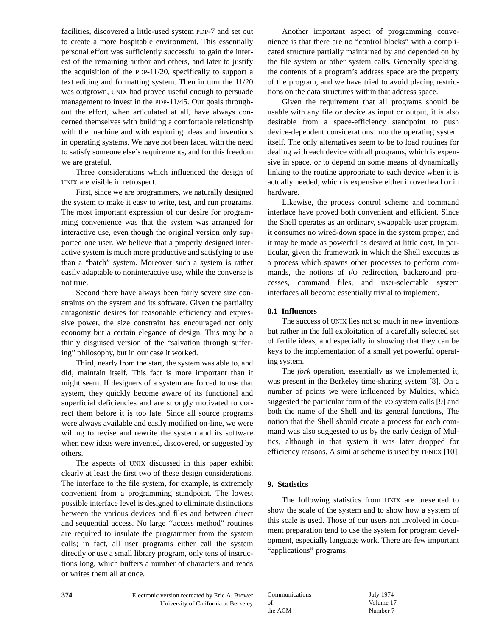facilities, discovered a little-used system PDP-7 and set out to create a more hospitable environment. This essentially personal effort was sufficiently successful to gain the interest of the remaining author and others, and later to justify the acquisition of the PDP-11/20, specifically to support a text editing and formatting system. Then in turn the 11/20 was outgrown, UNIX had proved useful enough to persuade management to invest in the PDP-11/45. Our goals throughout the effort, when articulated at all, have always concerned themselves with building a comfortable relationship with the machine and with exploring ideas and inventions in operating systems. We have not been faced with the need to satisfy someone else's requirements, and for this freedom we are grateful.

Three considerations which influenced the design of UNIX are visible in retrospect.

First, since we are programmers, we naturally designed the system to make it easy to write, test, and run programs. The most important expression of our desire for programming convenience was that the system was arranged for interactive use, even though the original version only supported one user. We believe that a properly designed interactive system is much more productive and satisfying to use than a "batch" system. Moreover such a system is rather easily adaptable to noninteractive use, while the converse is not true.

Second there have always been fairly severe size constraints on the system and its software. Given the partiality antagonistic desires for reasonable efficiency and expressive power, the size constraint has encouraged not only economy but a certain elegance of design. This may be a thinly disguised version of the "salvation through suffering" philosophy, but in our case it worked.

Third, nearly from the start, the system was able to, and did, maintain itself. This fact is more important than it might seem. If designers of a system are forced to use that system, they quickly become aware of its functional and superficial deficiencies and are strongly motivated to correct them before it is too late. Since all source programs were always available and easily modified on-line, we were willing to revise and rewrite the system and its software when new ideas were invented, discovered, or suggested by others.

The aspects of UNIX discussed in this paper exhibit clearly at least the first two of these design considerations. The interface to the file system, for example, is extremely convenient from a programming standpoint. The lowest possible interface level is designed to eliminate distinctions between the various devices and files and between direct and sequential access. No large ''access method" routines are required to insulate the programmer from the system calls; in fact, all user programs either call the system directly or use a small library program, only tens of instructions long, which buffers a number of characters and reads or writes them all at once.

Another important aspect of programming convenience is that there are no "control blocks" with a complicated structure partially maintained by and depended on by the file system or other system calls. Generally speaking, the contents of a program's address space are the property of the program, and we have tried to avoid placing restrictions on the data structures within that address space.

Given the requirement that all programs should be usable with any file or device as input or output, it is also desirable from a space-efficiency standpoint to push device-dependent considerations into the operating system itself. The only alternatives seem to be to load routines for dealing with each device with all programs, which is expensive in space, or to depend on some means of dynamically linking to the routine appropriate to each device when it is actually needed, which is expensive either in overhead or in hardware.

Likewise, the process control scheme and command interface have proved both convenient and efficient. Since the Shell operates as an ordinary, swappable user program, it consumes no wired-down space in the system proper, and it may be made as powerful as desired at little cost, In particular, given the framework in which the Shell executes as a process which spawns other processes to perform commands, the notions of I/O redirection, background processes, command files, and user-selectable system interfaces all become essentially trivial to implement.

## **8.1 Influences**

The success of UNIX lies not so much in new inventions but rather in the full exploitation of a carefully selected set of fertile ideas, and especially in showing that they can be keys to the implementation of a small yet powerful operating system.

The *fork* operation, essentially as we implemented it, was present in the Berkeley time-sharing system [8]. On a number of points we were influenced by Multics, which suggested the particular form of the I/O system calls [9] and both the name of the Shell and its general functions, The notion that the Shell should create a process for each command was also suggested to us by the early design of Multics, although in that system it was later dropped for efficiency reasons. A similar scheme is used by TENEX [10].

# **9. Statistics**

The following statistics from UNIX are presented to show the scale of the system and to show how a system of this scale is used. Those of our users not involved in document preparation tend to use the system for program development, especially language work. There are few important "applications" programs.